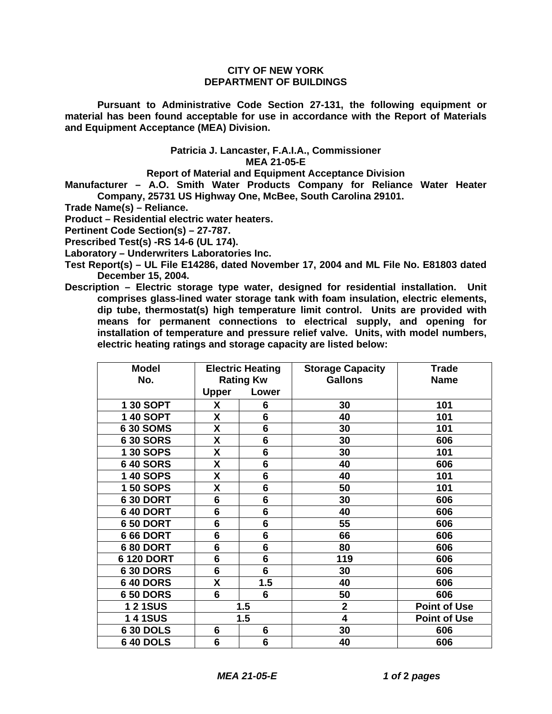## **CITY OF NEW YORK DEPARTMENT OF BUILDINGS**

**Pursuant to Administrative Code Section 27-131, the following equipment or material has been found acceptable for use in accordance with the Report of Materials and Equipment Acceptance (MEA) Division.**

## **Patricia J. Lancaster, F.A.I.A., Commissioner MEA 21-05-E**

**Report of Material and Equipment Acceptance Division**

**Manufacturer – A.O. Smith Water Products Company for Reliance Water Heater Company, 25731 US Highway One, McBee, South Carolina 29101.**

**Trade Name(s) – Reliance.**

**Product – Residential electric water heaters.**

**Pertinent Code Section(s) – 27-787.**

**Prescribed Test(s) -RS 14-6 (UL 174).**

**Laboratory – Underwriters Laboratories Inc.**

- **Test Report(s) UL File E14286, dated November 17, 2004 and ML File No. E81803 dated December 15, 2004.**
- **Description Electric storage type water, designed for residential installation. Unit comprises glass-lined water storage tank with foam insulation, electric elements, dip tube, thermostat(s) high temperature limit control. Units are provided with means for permanent connections to electrical supply, and opening for installation of temperature and pressure relief valve. Units, with model numbers, electric heating ratings and storage capacity are listed below:**

| <b>Model</b>      | <b>Electric Heating</b> |                | <b>Storage Capacity</b> | <b>Trade</b>        |
|-------------------|-------------------------|----------------|-------------------------|---------------------|
| No.               | <b>Rating Kw</b>        |                | <b>Gallons</b>          | <b>Name</b>         |
|                   | <b>Upper</b>            | Lower          |                         |                     |
| 1 30 SOPT         | X                       | 6              | 30                      | 101                 |
| 1 40 SOPT         | X                       | 6              | 40                      | 101                 |
| 6 30 SOMS         | X                       | 6              | 30                      | 101                 |
| <b>630 SORS</b>   | X                       | 6              | 30                      | 606                 |
| 1 30 SOPS         | X                       | 6              | 30                      | 101                 |
| <b>640 SORS</b>   | X                       | 6              | 40                      | 606                 |
| 1 40 SOPS         | X                       | $6\phantom{1}$ | 40                      | 101                 |
| 1 50 SOPS         | X                       | 6              | 50                      | 101                 |
| <b>630 DORT</b>   | 6                       | 6              | 30                      | 606                 |
| <b>640 DORT</b>   | $6\phantom{1}6$         | $6\phantom{1}$ | 40                      | 606                 |
| <b>650 DORT</b>   | 6                       | 6              | 55                      | 606                 |
| <b>666 DORT</b>   | $6\phantom{1}$          | $6\phantom{1}$ | 66                      | 606                 |
| <b>6 80 DORT</b>  | $6\phantom{1}$          | 6              | 80                      | 606                 |
| <b>6 120 DORT</b> | 6                       | 6              | 119                     | 606                 |
| <b>630 DORS</b>   | $6\phantom{1}$          | $6\phantom{a}$ | 30                      | 606                 |
| <b>640 DORS</b>   | X                       | 1.5            | 40                      | 606                 |
| <b>650 DORS</b>   | 6                       | 6              | 50                      | 606                 |
| <b>121SUS</b>     | 1.5                     |                | $\overline{2}$          | <b>Point of Use</b> |
| <b>141SUS</b>     | 1.5                     |                | 4                       | <b>Point of Use</b> |
| <b>630 DOLS</b>   | 6                       | 6              | 30                      | 606                 |
| <b>640 DOLS</b>   | 6                       | 6              | 40                      | 606                 |